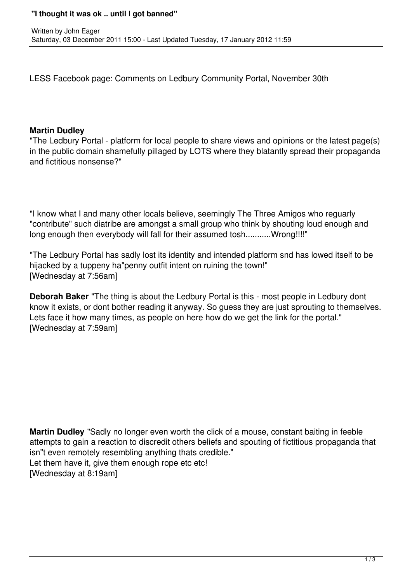## **"I thought it was ok .. until I got banned"**

LESS Facebook page: Comments on Ledbury Community Portal, November 30th

## **Martin Dudley**

"The Ledbury Portal - platform for local people to share views and opinions or the latest page(s) in the public domain shamefully pillaged by LOTS where they blatantly spread their propaganda and fictitious nonsense?"

"I know what I and many other locals believe, seemingly The Three Amigos who reguarly "contribute" such diatribe are amongst a small group who think by shouting loud enough and long enough then everybody will fall for their assumed tosh..........Wrong!!!!"

"The Ledbury Portal has sadly lost its identity and intended platform snd has lowed itself to be hijacked by a tuppeny ha"penny outfit intent on ruining the town!" [Wednesday at 7:56am]

**Deborah Baker** "The thing is about the Ledbury Portal is this - most people in Ledbury dont know it exists, or dont bother reading it anyway. So guess they are just sprouting to themselves. Lets face it how many times, as people on here how do we get the link for the portal." [Wednesday at 7:59am]

**Martin Dudley** "Sadly no longer even worth the click of a mouse, constant baiting in feeble attempts to gain a reaction to discredit others beliefs and spouting of fictitious propaganda that isn"t even remotely resembling anything thats credible." Let them have it, give them enough rope etc etc! [Wednesday at 8:19am]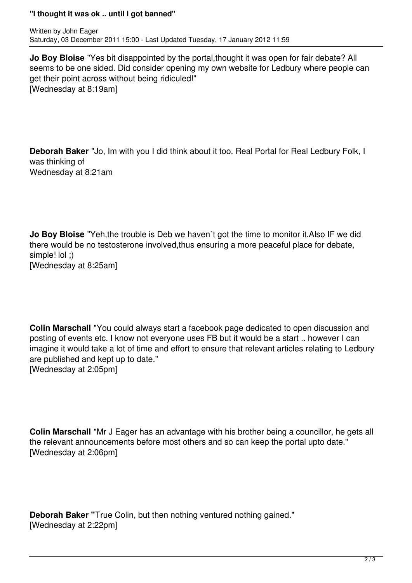## **"I thought it was ok .. until I got banned"**

**Jo Boy Bloise** "Yes bit disappointed by the portal,thought it was open for fair debate? All seems to be one sided. Did consider opening my own website for Ledbury where people can get their point across without being ridiculed!" [Wednesday at 8:19am]

**Deborah Baker** "Jo, Im with you I did think about it too. Real Portal for Real Ledbury Folk, I was thinking of Wednesday at 8:21am

**Jo Boy Bloise** "Yeh,the trouble is Deb we haven`t got the time to monitor it.Also IF we did there would be no testosterone involved,thus ensuring a more peaceful place for debate, simple! lol ;) [Wednesday at 8:25am]

**Colin Marschall** "You could always start a facebook page dedicated to open discussion and posting of events etc. I know not everyone uses FB but it would be a start .. however I can imagine it would take a lot of time and effort to ensure that relevant articles relating to Ledbury are published and kept up to date." [Wednesday at 2:05pm]

**Colin Marschall** "Mr J Eager has an advantage with his brother being a councillor, he gets all the relevant announcements before most others and so can keep the portal upto date." [Wednesday at 2:06pm]

**Deborah Baker "**True Colin, but then nothing ventured nothing gained." [Wednesday at 2:22pm]